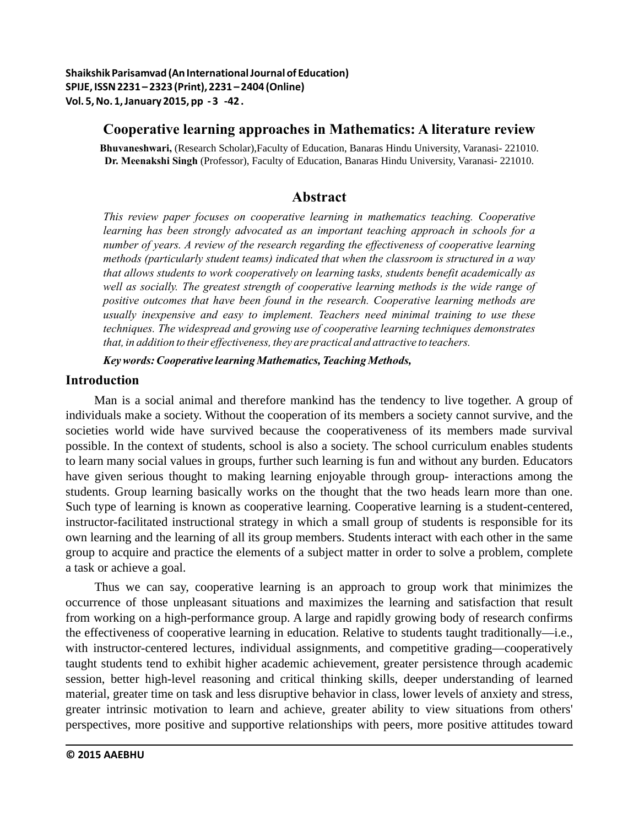## **Cooperative learning approaches in Mathematics: A literature review**

**Bhuvaneshwari,** (Research Scholar),Faculty of Education, Banaras Hindu University, Varanasi- 221010. **Dr. Meenakshi Singh** (Professor), Faculty of Education, Banaras Hindu University, Varanasi- 221010.

# **Abstract**

*This review paper focuses on cooperative learning in mathematics teaching. Cooperative learning has been strongly advocated as an important teaching approach in schools for a number of years. A review of the research regarding the effectiveness of cooperative learning methods (particularly student teams) indicated that when the classroom is structured in a way that allows students to work cooperatively on learning tasks, students benefit academically as well as socially. The greatest strength of cooperative learning methods is the wide range of positive outcomes that have been found in the research. Cooperative learning methods are usually inexpensive and easy to implement. Teachers need minimal training to use these techniques. The widespread and growing use of cooperative learning techniques demonstrates that, in addition to their effectiveness, they are practical and attractive to teachers.*

*Key words: Cooperative learning Mathematics, Teaching Methods,*

## **Introduction**

Man is a social animal and therefore mankind has the tendency to live together. A group of individuals make a society. Without the cooperation of its members a society cannot survive, and the societies world wide have survived because the cooperativeness of its members made survival possible. In the context of students, school is also a society. The school curriculum enables students to learn many social values in groups, further such learning is fun and without any burden. Educators have given serious thought to making learning enjoyable through group- interactions among the students. Group learning basically works on the thought that the two heads learn more than one. Such type of learning is known as cooperative learning. Cooperative learning is a student-centered, instructor-facilitated instructional strategy in which a small group of students is responsible for its own learning and the learning of all its group members. Students interact with each other in the same group to acquire and practice the elements of a subject matter in order to solve a problem, complete a task or achieve a goal.

Thus we can say, cooperative learning is an approach to group work that minimizes the occurrence of those unpleasant situations and maximizes the learning and satisfaction that result from working on a high-performance group. A large and rapidly growing body of research confirms the effectiveness of cooperative learning in education. Relative to students taught traditionally—i.e., with instructor-centered lectures, individual assignments, and competitive grading—cooperatively taught students tend to exhibit higher academic achievement, greater persistence through academic session, better high-level reasoning and critical thinking skills, deeper understanding of learned material, greater time on task and less disruptive behavior in class, lower levels of anxiety and stress, greater intrinsic motivation to learn and achieve, greater ability to view situations from others' perspectives, more positive and supportive relationships with peers, more positive attitudes toward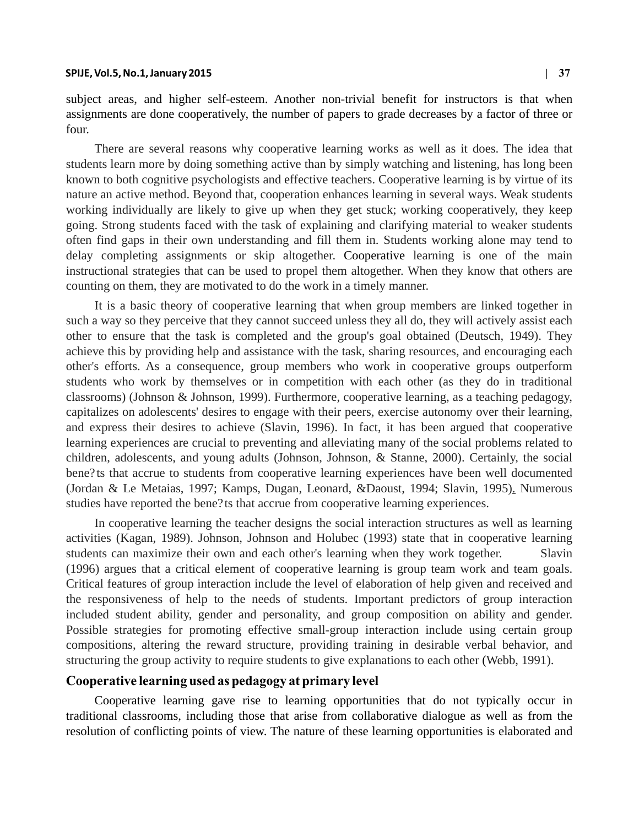#### **SPIJE, Vol.5, No.1, January 2015 | 37**

subject areas, and higher self-esteem. Another non-trivial benefit for instructors is that when assignments are done cooperatively, the number of papers to grade decreases by a factor of three or four.

delay completing assignments or skip altogether. Cooperative learning is one of the main There are several reasons why cooperative learning works as well as it does. The idea that students learn more by doing something active than by simply watching and listening, has long been known to both cognitive psychologists and effective teachers. Cooperative learning is by virtue of its nature an active method. Beyond that, cooperation enhances learning in several ways. Weak students working individually are likely to give up when they get stuck; working cooperatively, they keep going. Strong students faced with the task of explaining and clarifying material to weaker students often find gaps in their own understanding and fill them in. Students working alone may tend to instructional strategies that can be used to propel them altogether. When they know that others are counting on them, they are motivated to do the work in a timely manner.

It is a basic theory of cooperative learning that when group members are linked together in such a way so they perceive that they cannot succeed unless they all do, they will actively assist each other to ensure that the task is completed and the group's goal obtained (Deutsch, 1949). They achieve this by providing help and assistance with the task, sharing resources, and encouraging each other's efforts. As a consequence, group members who work in cooperative groups outperform students who work by themselves or in competition with each other (as they do in traditional classrooms) (Johnson & Johnson, 1999). Furthermore, cooperative learning, as a teaching pedagogy, capitalizes on adolescents' desires to engage with their peers, exercise autonomy over their learning, and express their desires to achieve (Slavin, 1996). In fact, it has been argued that cooperative learning experiences are crucial to preventing and alleviating many of the social problems related to children, adolescents, and young adults (Johnson, Johnson, & Stanne, 2000). Certainly, the social bene?ts that accrue to students from cooperative learning experiences have been well documented (Jordan & Le Metaias, 1997; Kamps, Dugan, Leonard, &Daoust, 1994; Slavin, 1995). Numerous studies have reported the bene?ts that accrue from cooperative learning experiences.

structuring the group activity to require students to give explanations to each other (Webb, 1991). In cooperative learning the teacher designs the social interaction structures as well as learning activities (Kagan, 1989). Johnson, Johnson and Holubec (1993) state that in cooperative learning students can maximize their own and each other's learning when they work together. Slavin (1996) argues that a critical element of cooperative learning is group team work and team goals. Critical features of group interaction include the level of elaboration of help given and received and the responsiveness of help to the needs of students. Important predictors of group interaction included student ability, gender and personality, and group composition on ability and gender. Possible strategies for promoting effective small-group interaction include using certain group compositions, altering the reward structure, providing training in desirable verbal behavior, and

### **Cooperative learning used as pedagogy at primary level**

Cooperative learning gave rise to learning opportunities that do not typically occur in traditional classrooms, including those that arise from collaborative dialogue as well as from the resolution of conflicting points of view. The nature of these learning opportunities is elaborated and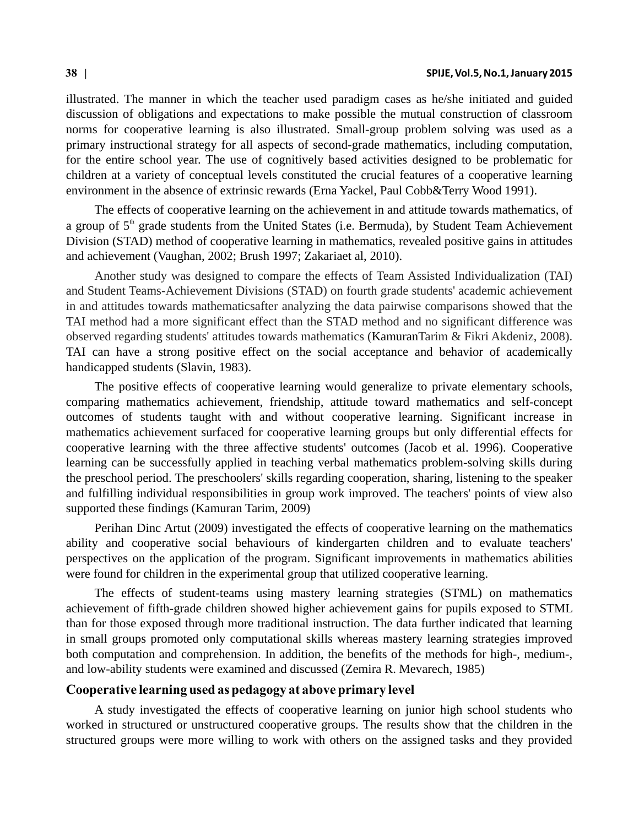illustrated. The manner in which the teacher used paradigm cases as he/she initiated and guided discussion of obligations and expectations to make possible the mutual construction of classroom norms for cooperative learning is also illustrated. Small-group problem solving was used as a primary instructional strategy for all aspects of second-grade mathematics, including computation, for the entire school year. The use of cognitively based activities designed to be problematic for children at a variety of conceptual levels constituted the crucial features of a cooperative learning environment in the absence of extrinsic rewards (Erna Yackel, Paul Cobb&Terry Wood 1991).

The effects of cooperative learning on the achievement in and attitude towards mathematics, of a group of  $5<sup>th</sup>$  grade students from the United States (i.e. Bermuda), by Student Team Achievement Division (STAD) method of cooperative learning in mathematics, revealed positive gains in attitudes and achievement (Vaughan, 2002; Brush 1997; Zakariaet al, 2010).

observed regarding students' attitudes towards mathematics (KamuranTarim & Fikri Akdeniz, 2008). TAI can have a strong positive effect on the social acceptance and behavior of academically handicapped students (Slavin, 1983). Another study was designed to compare the effects of Team Assisted Individualization (TAI) and Student Teams-Achievement Divisions (STAD) on fourth grade students' academic achievement in and attitudes towards mathematicsafter analyzing the data pairwise comparisons showed that the TAI method had a more significant effect than the STAD method and no significant difference was

The positive effects of cooperative learning would generalize to private elementary schools, comparing mathematics achievement, friendship, attitude toward mathematics and self-concept outcomes of students taught with and without cooperative learning. Significant increase in mathematics achievement surfaced for cooperative learning groups but only differential effects for cooperative learning with the three affective students' outcomes (Jacob et al. 1996). Cooperative learning can be successfully applied in teaching verbal mathematics problem-solving skills during the preschool period. The preschoolers' skills regarding cooperation, sharing, listening to the speaker and fulfilling individual responsibilities in group work improved. The teachers' points of view also supported these findings (Kamuran Tarim, 2009)

Perihan Dinc Artut (2009) investigated the effects of cooperative learning on the mathematics ability and cooperative social behaviours of kindergarten children and to evaluate teachers' perspectives on the application of the program. Significant improvements in mathematics abilities were found for children in the experimental group that utilized cooperative learning.

The effects of student-teams using mastery learning strategies (STML) on mathematics achievement of fifth-grade children showed higher achievement gains for pupils exposed to STML than for those exposed through more traditional instruction. The data further indicated that learning in small groups promoted only computational skills whereas mastery learning strategies improved both computation and comprehension. In addition, the benefits of the methods for high-, medium-, and low-ability students were examined and discussed (Zemira R. Mevarech, 1985)

### **Cooperative learning used as pedagogy at above primary level**

A study investigated the effects of cooperative learning on junior high school students who worked in structured or unstructured cooperative groups. The results show that the children in the structured groups were more willing to work with others on the assigned tasks and they provided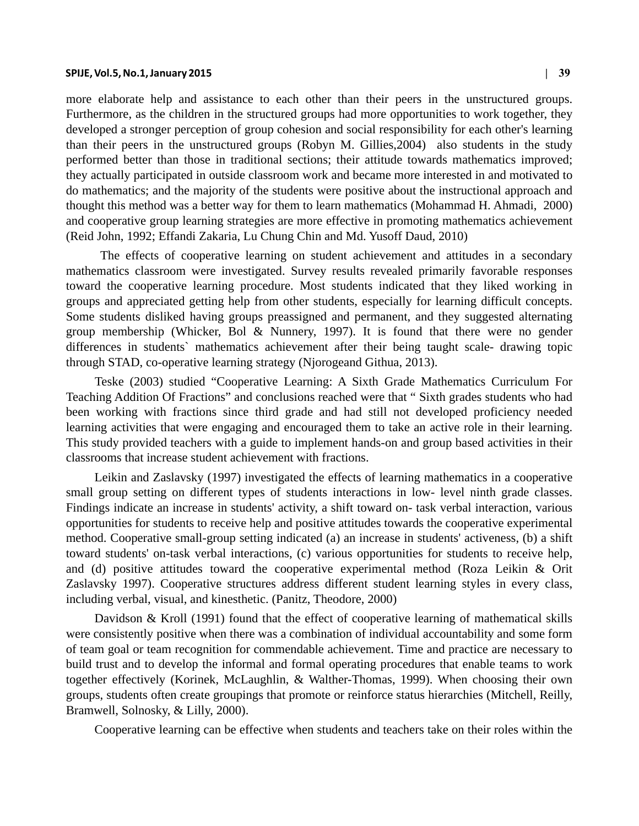#### **SPIJE, Vol.5, No.1, January 2015 | 39**

more elaborate help and assistance to each other than their peers in the unstructured groups. Furthermore, as the children in the structured groups had more opportunities to work together, they developed a stronger perception of group cohesion and social responsibility for each other's learning than their peers in the unstructured groups (Robyn M. Gillies,2004) also students in the study performed better than those in traditional sections; their attitude towards mathematics improved; they actually participated in outside classroom work and became more interested in and motivated to do mathematics; and the majority of the students were positive about the instructional approach and thought this method was a better way for them to learn mathematics (Mohammad H. Ahmadi, 2000) and cooperative group learning strategies are more effective in promoting mathematics achievement (Reid John, 1992; Effandi Zakaria, Lu Chung Chin and Md. Yusoff Daud, 2010)

 The effects of cooperative learning on student achievement and attitudes in a secondary mathematics classroom were investigated. Survey results revealed primarily favorable responses toward the cooperative learning procedure. Most students indicated that they liked working in groups and appreciated getting help from other students, especially for learning difficult concepts. Some students disliked having groups preassigned and permanent, and they suggested alternating group membership (Whicker, Bol & Nunnery, 1997). It is found that there were no gender differences in students` mathematics achievement after their being taught scale- drawing topic through STAD, co-operative learning strategy (Njorogeand Githua, 2013).

Teske (2003) studied "Cooperative Learning: A Sixth Grade Mathematics Curriculum For Teaching Addition Of Fractions" and conclusions reached were that " Sixth grades students who had been working with fractions since third grade and had still not developed proficiency needed learning activities that were engaging and encouraged them to take an active role in their learning. This study provided teachers with a guide to implement hands-on and group based activities in their classrooms that increase student achievement with fractions.

Leikin and Zaslavsky (1997) investigated the effects of learning mathematics in a cooperative small group setting on different types of students interactions in low- level ninth grade classes. Findings indicate an increase in students' activity, a shift toward on- task verbal interaction, various opportunities for students to receive help and positive attitudes towards the cooperative experimental method. Cooperative small-group setting indicated (a) an increase in students' activeness, (b) a shift toward students' on-task verbal interactions, (c) various opportunities for students to receive help, and (d) positive attitudes toward the cooperative experimental method (Roza Leikin & Orit Zaslavsky 1997). Cooperative structures address different student learning styles in every class, including verbal, visual, and kinesthetic. (Panitz, Theodore, 2000)

Davidson & Kroll (1991) found that the effect of cooperative learning of mathematical skills were consistently positive when there was a combination of individual accountability and some form of team goal or team recognition for commendable achievement. Time and practice are necessary to build trust and to develop the informal and formal operating procedures that enable teams to work together effectively (Korinek, McLaughlin, & Walther-Thomas, 1999). When choosing their own groups, students often create groupings that promote or reinforce status hierarchies (Mitchell, Reilly, Bramwell, Solnosky, & Lilly, 2000).

Cooperative learning can be effective when students and teachers take on their roles within the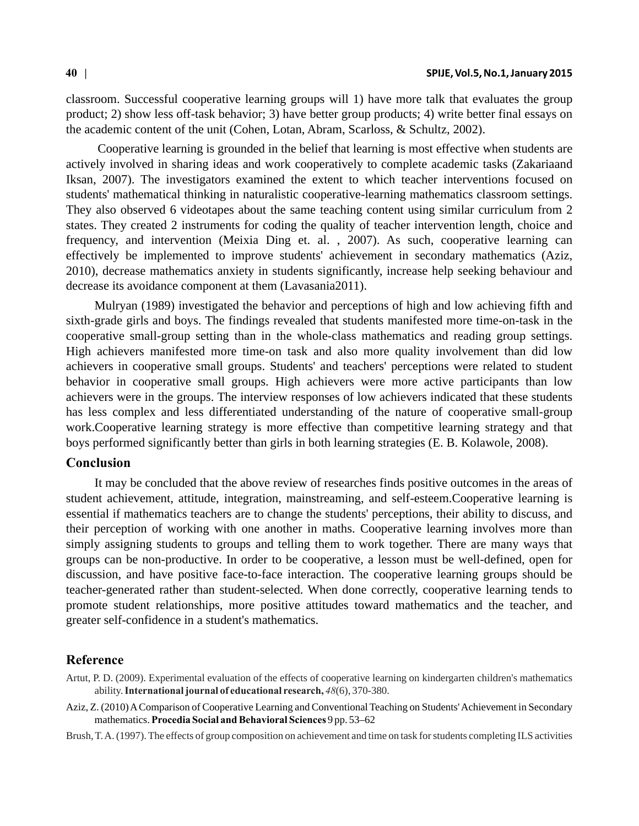classroom. Successful cooperative learning groups will 1) have more talk that evaluates the group product; 2) show less off-task behavior; 3) have better group products; 4) write better final essays on the academic content of the unit (Cohen, Lotan, Abram, Scarloss, & Schultz, 2002).

 Cooperative learning is grounded in the belief that learning is most effective when students are actively involved in sharing ideas and work cooperatively to complete academic tasks (Zakariaand Iksan, 2007). The investigators examined the extent to which teacher interventions focused on students' mathematical thinking in naturalistic cooperative-learning mathematics classroom settings. They also observed 6 videotapes about the same teaching content using similar curriculum from 2 states. They created 2 instruments for coding the quality of teacher intervention length, choice and frequency, and intervention (Meixia Ding et. al. , 2007). As such, cooperative learning can effectively be implemented to improve students' achievement in secondary mathematics (Aziz, 2010), decrease mathematics anxiety in students significantly, increase help seeking behaviour and decrease its avoidance component at them (Lavasania2011).

Mulryan (1989) investigated the behavior and perceptions of high and low achieving fifth and sixth-grade girls and boys. The findings revealed that students manifested more time-on-task in the cooperative small-group setting than in the whole-class mathematics and reading group settings. High achievers manifested more time-on task and also more quality involvement than did low achievers in cooperative small groups. Students' and teachers' perceptions were related to student behavior in cooperative small groups. High achievers were more active participants than low achievers were in the groups. The interview responses of low achievers indicated that these students has less complex and less differentiated understanding of the nature of cooperative small-group work.Cooperative learning strategy is more effective than competitive learning strategy and that boys performed significantly better than girls in both learning strategies (E. B. Kolawole, 2008).

### **Conclusion**

It may be concluded that the above review of researches finds positive outcomes in the areas of student achievement, attitude, integration, mainstreaming, and self-esteem.Cooperative learning is essential if mathematics teachers are to change the students' perceptions, their ability to discuss, and their perception of working with one another in maths. Cooperative learning involves more than simply assigning students to groups and telling them to work together. There are many ways that groups can be non-productive. In order to be cooperative, a lesson must be well-defined, open for discussion, and have positive face-to-face interaction. The cooperative learning groups should be teacher-generated rather than student-selected. When done correctly, cooperative learning tends to promote student relationships, more positive attitudes toward mathematics and the teacher, and greater self-confidence in a student's mathematics.

### **Reference**

- Artut, P. D. (2009). Experimental evaluation of the effects of cooperative learning on kindergarten children's mathematics ability. **International journal of educational research,** *48*(6), 370-380.
- Aziz, Z. (2010) A Comparison of Cooperative Learning and Conventional Teaching on Students' Achievement in Secondary mathematics. **Procedia Social and Behavioral Sciences** 9 pp. 53–62

Brush, T. A. (1997). The effects of group composition on achievement and time on task for students completing ILS activities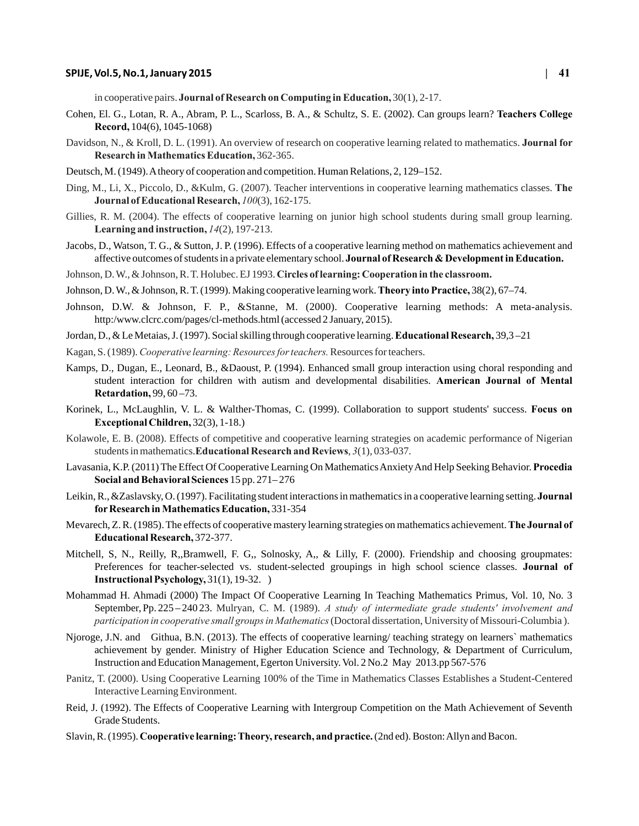#### **SPIJE, Vol.5, No.1, January 2015 | 41**

in cooperative pairs. **Journal of Research on Computing in Education,** 30(1), 2-17.

- Cohen, El. G., Lotan, R. A., Abram, P. L., Scarloss, B. A., & Schultz, S. E. (2002). Can groups learn? **Teachers College Record,** 104(6), 1045-1068)
- Davidson, N., & Kroll, D. L. (1991). An overview of research on cooperative learning related to mathematics. **Journal for Research in Mathematics Education,** 362-365.
- Deutsch, M. (1949). A theory of cooperation and competition. Human Relations, 2, 129–152.
- Ding, M., Li, X., Piccolo, D., &Kulm, G. (2007). Teacher interventions in cooperative learning mathematics classes. **The Journal of Educational Research,** *100*(3), 162-175.
- Gillies, R. M. (2004). The effects of cooperative learning on junior high school students during small group learning. **Learning and instruction,** *14*(2), 197-213.
- Jacobs, D., Watson, T. G., & Sutton, J. P. (1996). Effects of a cooperative learning method on mathematics achievement and affective outcomes of students in a private elementary school. **Journal of Research & Development in Education.**
- Johnson, D. W., & Johnson, R. T. Holubec. EJ 1993. **Circles of learning: Cooperation in the classroom.**
- Johnson, D. W., & Johnson, R. T. (1999). Making cooperative learning work. **Theory into Practice,** 38(2), 67–74.
- Johnson, D.W. & Johnson, F. P., &Stanne, M. (2000). Cooperative learning methods: A meta-analysis. http:/www.clcrc.com/pages/cl-methods.html (accessed 2 January, 2015).
- Jordan, D., & Le Metaias, J. (1997). Social skilling through cooperative learning. **Educational Research,** 39,3 –21
- Kagan, S. (1989). *Cooperative learning: Resources for teachers.* Resources for teachers.
- Kamps, D., Dugan, E., Leonard, B., &Daoust, P. (1994). Enhanced small group interaction using choral responding and student interaction for children with autism and developmental disabilities. **American Journal of Mental Retardation,** 99, 60 –73.
- Korinek, L., McLaughlin, V. L. & Walther-Thomas, C. (1999). Collaboration to support students' success. **Focus on Exceptional Children,** 32(3), 1-18.)
- Kolawole, E. B. (2008). Effects of competitive and cooperative learning strategies on academic performance of Nigerian students in mathematics.**Educational Research and Reviews**, *3*(1), 033-037.
- Lavasania, K.P. (2011) The Effect Of Cooperative Learning On Mathematics Anxiety And Help Seeking Behavior. **Procedia Social and Behavioral Sciences** 15 pp. 271– 276
- Leikin, R., &Zaslavsky, O. (1997). Facilitating student interactions in mathematics in a cooperative learning setting. **Journal for Research in Mathematics Education,** 331-354
- Mevarech, Z. R. (1985). The effects of cooperative mastery learning strategies on mathematics achievement. **The Journal of Educational Research,** 372-377.
- Mitchell, S, N., Reilly, R,,Bramwell, F. G,, Solnosky, A,, & Lilly, F. (2000). Friendship and choosing groupmates: Preferences for teacher-selected vs. student-selected groupings in high school science classes. **Journal of Instructional Psychology,** 31(1), 19-32. )
- September, Pp. 225 240 23. Mulryan, C. M. (1989). A study of intermediate grade students' involvement and *participation in cooperative small groups in Mathematics* (Doctoral dissertation, University of Missouri-Columbia ). Mohammad H. Ahmadi (2000) The Impact Of Cooperative Learning In Teaching Mathematics Primus, Vol. 10, No. 3
- Njoroge, J.N. and Githua, B.N. (2013). The effects of cooperative learning/ teaching strategy on learners` mathematics achievement by gender. Ministry of Higher Education Science and Technology, & Department of Curriculum, Instruction and Education Management, Egerton University. Vol. 2 No.2 May 2013.pp 567-576
- Panitz, T. (2000). Using Cooperative Learning 100% of the Time in Mathematics Classes Establishes a Student-Centered Interactive Learning Environment.
- Reid, J. (1992). The Effects of Cooperative Learning with Intergroup Competition on the Math Achievement of Seventh Grade Students.
- Slavin, R. (1995). **Cooperative learning: Theory, research, and practice.** (2nd ed). Boston: Allyn and Bacon.